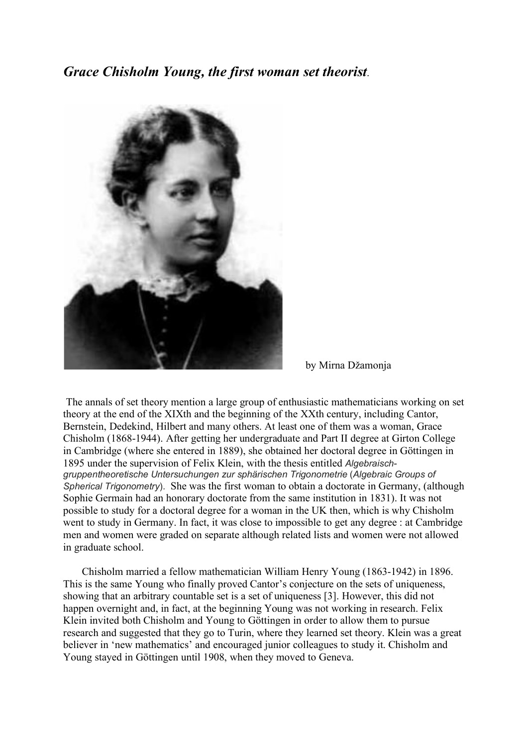*Grace Chisholm Young, the first woman set theorist*.



by Mirna Džamonja

The annals of set theory mention a large group of enthusiastic mathematicians working on set theory at the end of the XIXth and the beginning of the XXth century, including Cantor, Bernstein, Dedekind, Hilbert and many others. At least one of them was a woman, Grace Chisholm (1868-1944). After getting her undergraduate and Part II degree at Girton College in Cambridge (where she entered in 1889), she obtained her doctoral degree in Göttingen in 1895 under the supervision of Felix Klein, with the thesis entitled *Algebraischgruppentheoretische Untersuchungen zur sphärischen Trigonometrie* (*Algebraic Groups of Spherical Trigonometry*). She was the first woman to obtain a doctorate in Germany, (although Sophie Germain had an honorary doctorate from the same institution in 1831). It was not possible to study for a doctoral degree for a woman in the UK then, which is why Chisholm went to study in Germany. In fact, it was close to impossible to get any degree : at Cambridge men and women were graded on separate although related lists and women were not allowed in graduate school.

 Chisholm married a fellow mathematician William Henry Young (1863-1942) in 1896. This is the same Young who finally proved Cantor's conjecture on the sets of uniqueness, showing that an arbitrary countable set is a set of uniqueness [3]. However, this did not happen overnight and, in fact, at the beginning Young was not working in research. Felix Klein invited both Chisholm and Young to Göttingen in order to allow them to pursue research and suggested that they go to Turin, where they learned set theory. Klein was a great believer in 'new mathematics' and encouraged junior colleagues to study it. Chisholm and Young stayed in Göttingen until 1908, when they moved to Geneva.